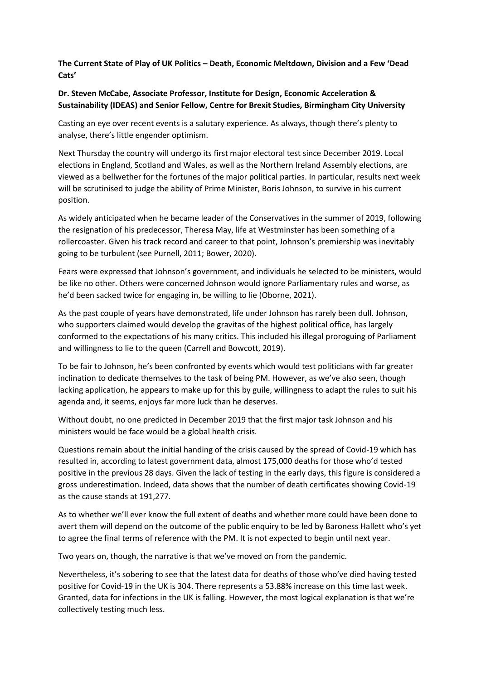**The Current State of Play of UK Politics – Death, Economic Meltdown, Division and a Few 'Dead Cats'**

## **Dr. Steven McCabe, Associate Professor, Institute for Design, Economic Acceleration & Sustainability (IDEAS) and Senior Fellow, Centre for Brexit Studies, Birmingham City University**

Casting an eye over recent events is a salutary experience. As always, though there's plenty to analyse, there's little engender optimism.

Next Thursday the country will undergo its first major electoral test since December 2019. Local elections in England, Scotland and Wales, as well as the Northern Ireland Assembly elections, are viewed as a bellwether for the fortunes of the major political parties. In particular, results next week will be scrutinised to judge the ability of Prime Minister, Boris Johnson, to survive in his current position.

As widely anticipated when he became leader of the Conservatives in the summer of 2019, following the resignation of his predecessor, Theresa May, life at Westminster has been something of a rollercoaster. Given his track record and career to that point, Johnson's premiership was inevitably going to be turbulent (see Purnell, 2011; Bower, 2020).

Fears were expressed that Johnson's government, and individuals he selected to be ministers, would be like no other. Others were concerned Johnson would ignore Parliamentary rules and worse, as he'd been sacked twice for engaging in, be willing to lie (Oborne, 2021).

As the past couple of years have demonstrated, life under Johnson has rarely been dull. Johnson, who supporters claimed would develop the gravitas of the highest political office, has largely conformed to the expectations of his many critics. This included his illegal proroguing of Parliament and willingness to lie to the queen (Carrell and Bowcott, 2019).

To be fair to Johnson, he's been confronted by events which would test politicians with far greater inclination to dedicate themselves to the task of being PM. However, as we've also seen, though lacking application, he appears to make up for this by guile, willingness to adapt the rules to suit his agenda and, it seems, enjoys far more luck than he deserves.

Without doubt, no one predicted in December 2019 that the first major task Johnson and his ministers would be face would be a global health crisis.

Questions remain about the initial handing of the crisis caused by the spread of Covid-19 which has resulted in, according to latest government data, almost 175,000 deaths for those who'd tested positive in the previous 28 days. Given the lack of testing in the early days, this figure is considered a gross underestimation. Indeed, data shows that the number of death certificates showing Covid-19 as the cause stands at 191,277.

As to whether we'll ever know the full extent of deaths and whether more could have been done to avert them will depend on the outcome of the public enquiry to be led by Baroness Hallett who's yet to agree the final terms of reference with the PM. It is not expected to begin until next year.

Two years on, though, the narrative is that we've moved on from the pandemic.

Nevertheless, it's sobering to see that the latest data for deaths of those who've died having tested positive for Covid-19 in the UK is 304. There represents a 53.88% increase on this time last week. Granted, data for infections in the UK is falling. However, the most logical explanation is that we're collectively testing much less.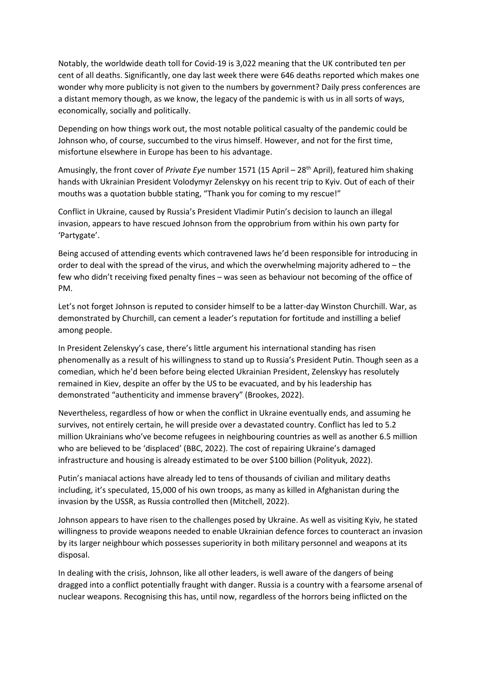Notably, the worldwide death toll for Covid-19 is 3,022 meaning that the UK contributed ten per cent of all deaths. Significantly, one day last week there were 646 deaths reported which makes one wonder why more publicity is not given to the numbers by government? Daily press conferences are a distant memory though, as we know, the legacy of the pandemic is with us in all sorts of ways, economically, socially and politically.

Depending on how things work out, the most notable political casualty of the pandemic could be Johnson who, of course, succumbed to the virus himself. However, and not for the first time, misfortune elsewhere in Europe has been to his advantage.

Amusingly, the front cover of *Private Eye* number 1571 (15 April – 28<sup>th</sup> April), featured him shaking hands with Ukrainian President Volodymyr Zelenskyy on his recent trip to Kyiv. Out of each of their mouths was a quotation bubble stating, "Thank you for coming to my rescue!"

Conflict in Ukraine, caused by Russia's President Vladimir Putin's decision to launch an illegal invasion, appears to have rescued Johnson from the opprobrium from within his own party for 'Partygate'.

Being accused of attending events which contravened laws he'd been responsible for introducing in order to deal with the spread of the virus, and which the overwhelming majority adhered to – the few who didn't receiving fixed penalty fines – was seen as behaviour not becoming of the office of PM.

Let's not forget Johnson is reputed to consider himself to be a latter-day Winston Churchill. War, as demonstrated by Churchill, can cement a leader's reputation for fortitude and instilling a belief among people.

In President Zelenskyy's case, there's little argument his international standing has risen phenomenally as a result of his willingness to stand up to Russia's President Putin. Though seen as a comedian, which he'd been before being elected Ukrainian President, Zelenskyy has resolutely remained in Kiev, despite an offer by the US to be evacuated, and by his leadership has demonstrated "authenticity and immense bravery" (Brookes, 2022).

Nevertheless, regardless of how or when the conflict in Ukraine eventually ends, and assuming he survives, not entirely certain, he will preside over a devastated country. Conflict has led to 5.2 million Ukrainians who've become refugees in neighbouring countries as well as another 6.5 million who are believed to be 'displaced' (BBC, 2022). The cost of repairing Ukraine's damaged infrastructure and housing is already estimated to be over \$100 billion (Polityuk, 2022).

Putin's maniacal actions have already led to tens of thousands of civilian and military deaths including, it's speculated, 15,000 of his own troops, as many as killed in Afghanistan during the invasion by the USSR, as Russia controlled then (Mitchell, 2022).

Johnson appears to have risen to the challenges posed by Ukraine. As well as visiting Kyiv, he stated willingness to provide weapons needed to enable Ukrainian defence forces to counteract an invasion by its larger neighbour which possesses superiority in both military personnel and weapons at its disposal.

In dealing with the crisis, Johnson, like all other leaders, is well aware of the dangers of being dragged into a conflict potentially fraught with danger. Russia is a country with a fearsome arsenal of nuclear weapons. Recognising this has, until now, regardless of the horrors being inflicted on the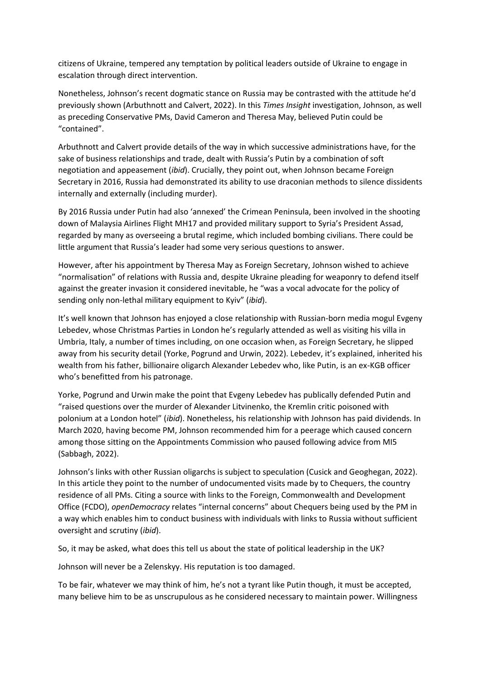citizens of Ukraine, tempered any temptation by political leaders outside of Ukraine to engage in escalation through direct intervention.

Nonetheless, Johnson's recent dogmatic stance on Russia may be contrasted with the attitude he'd previously shown (Arbuthnott and Calvert, 2022). In this *Times Insight* investigation, Johnson, as well as preceding Conservative PMs, David Cameron and Theresa May, believed Putin could be "contained".

Arbuthnott and Calvert provide details of the way in which successive administrations have, for the sake of business relationships and trade, dealt with Russia's Putin by a combination of soft negotiation and appeasement (*ibid*). Crucially, they point out, when Johnson became Foreign Secretary in 2016, Russia had demonstrated its ability to use draconian methods to silence dissidents internally and externally (including murder).

By 2016 Russia under Putin had also 'annexed' the Crimean Peninsula, been involved in the shooting down of Malaysia Airlines Flight MH17 and provided military support to Syria's President Assad, regarded by many as overseeing a brutal regime, which included bombing civilians. There could be little argument that Russia's leader had some very serious questions to answer.

However, after his appointment by Theresa May as Foreign Secretary, Johnson wished to achieve "normalisation" of relations with Russia and, despite Ukraine pleading for weaponry to defend itself against the greater invasion it considered inevitable, he "was a vocal advocate for the policy of sending only non-lethal military equipment to Kyiv" (*ibid*).

It's well known that Johnson has enjoyed a close relationship with Russian-born media mogul Evgeny Lebedev, whose Christmas Parties in London he's regularly attended as well as visiting his villa in Umbria, Italy, a number of times including, on one occasion when, as Foreign Secretary, he slipped away from his security detail (Yorke, Pogrund and Urwin, 2022). Lebedev, it's explained, inherited his wealth from his father, billionaire oligarch Alexander Lebedev who, like Putin, is an ex-KGB officer who's benefitted from his patronage.

Yorke, Pogrund and Urwin make the point that Evgeny Lebedev has publically defended Putin and "raised questions over the murder of Alexander Litvinenko, the Kremlin critic poisoned with polonium at a London hotel" (*ibid*). Nonetheless, his relationship with Johnson has paid dividends. In March 2020, having become PM, Johnson recommended him for a peerage which caused concern among those sitting on the Appointments Commission who paused following advice from MI5 (Sabbagh, 2022).

Johnson's links with other Russian oligarchs is subject to speculation (Cusick and Geoghegan, 2022). In this article they point to the number of undocumented visits made by to Chequers, the country residence of all PMs. Citing a source with links to the Foreign, Commonwealth and Development Office (FCDO), *openDemocracy* relates "internal concerns" about Chequers being used by the PM in a way which enables him to conduct business with individuals with links to Russia without sufficient oversight and scrutiny (*ibid*).

So, it may be asked, what does this tell us about the state of political leadership in the UK?

Johnson will never be a Zelenskyy. His reputation is too damaged.

To be fair, whatever we may think of him, he's not a tyrant like Putin though, it must be accepted, many believe him to be as unscrupulous as he considered necessary to maintain power. Willingness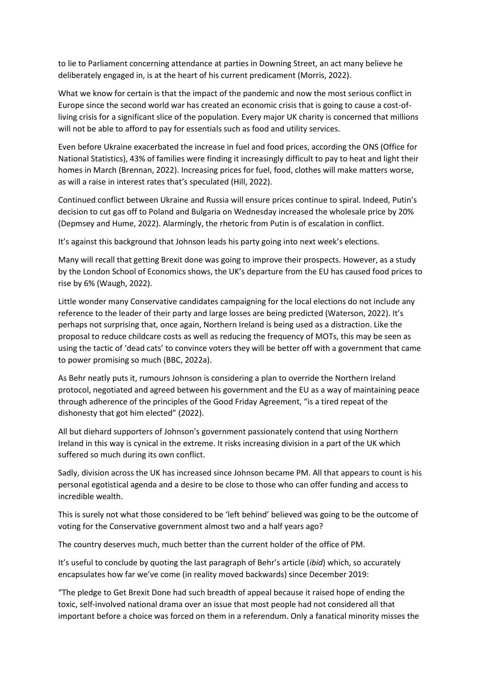to lie to Parliament concerning attendance at parties in Downing Street, an act many believe he deliberately engaged in, is at the heart of his current predicament (Morris, 2022).

What we know for certain is that the impact of the pandemic and now the most serious conflict in Europe since the second world war has created an economic crisis that is going to cause a cost-ofliving crisis for a significant slice of the population. Every major UK charity is concerned that millions will not be able to afford to pay for essentials such as food and utility services.

Even before Ukraine exacerbated the increase in fuel and food prices, according the ONS (Office for National Statistics), 43% of families were finding it increasingly difficult to pay to heat and light their homes in March (Brennan, 2022). Increasing prices for fuel, food, clothes will make matters worse, as will a raise in interest rates that's speculated (Hill, 2022).

Continued conflict between Ukraine and Russia will ensure prices continue to spiral. Indeed, Putin's decision to cut gas off to Poland and Bulgaria on Wednesday increased the wholesale price by 20% (Depmsey and Hume, 2022). Alarmingly, the rhetoric from Putin is of escalation in conflict.

It's against this background that Johnson leads his party going into next week's elections.

Many will recall that getting Brexit done was going to improve their prospects. However, as a study by the London School of Economics shows, the UK's departure from the EU has caused food prices to rise by 6% (Waugh, 2022).

Little wonder many Conservative candidates campaigning for the local elections do not include any reference to the leader of their party and large losses are being predicted (Waterson, 2022). It's perhaps not surprising that, once again, Northern Ireland is being used as a distraction. Like the proposal to reduce childcare costs as well as reducing the frequency of MOTs, this may be seen as using the tactic of 'dead cats' to convince voters they will be better off with a government that came to power promising so much (BBC, 2022a).

As Behr neatly puts it, rumours Johnson is considering a plan to override the Northern Ireland protocol, negotiated and agreed between his government and the EU as a way of maintaining peace through adherence of the principles of the Good Friday Agreement, "is a tired repeat of the dishonesty that got him elected" (2022).

All but diehard supporters of Johnson's government passionately contend that using Northern Ireland in this way is cynical in the extreme. It risks increasing division in a part of the UK which suffered so much during its own conflict.

Sadly, division across the UK has increased since Johnson became PM. All that appears to count is his personal egotistical agenda and a desire to be close to those who can offer funding and access to incredible wealth.

This is surely not what those considered to be 'left behind' believed was going to be the outcome of voting for the Conservative government almost two and a half years ago?

The country deserves much, much better than the current holder of the office of PM.

It's useful to conclude by quoting the last paragraph of Behr's article (*ibid*) which, so accurately encapsulates how far we've come (in reality moved backwards) since December 2019:

"The pledge to Get Brexit Done had such breadth of appeal because it raised hope of ending the toxic, self-involved national drama over an issue that most people had not considered all that important before a choice was forced on them in a referendum. Only a fanatical minority misses the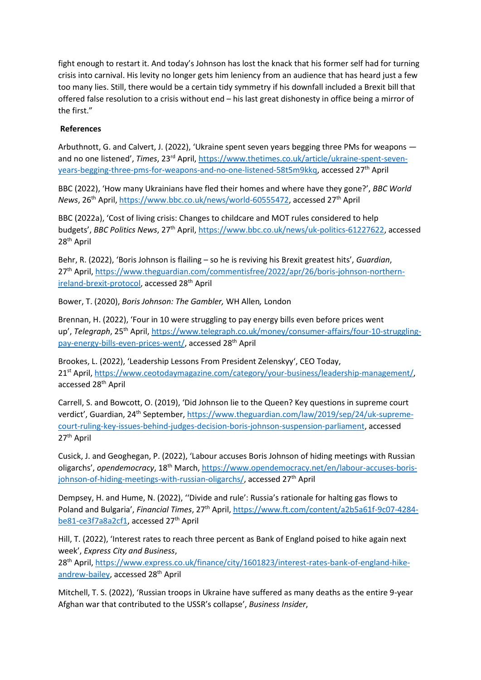fight enough to restart it. And today's Johnson has lost the knack that his former self had for turning crisis into carnival. His levity no longer gets him leniency from an audience that has heard just a few too many lies. Still, there would be a certain tidy symmetry if his downfall included a Brexit bill that offered false resolution to a crisis without end – his last great dishonesty in office being a mirror of the first."

## **References**

Arbuthnott, G. and Calvert, J. (2022), 'Ukraine spent seven years begging three PMs for weapons and no one listened', *Times*, 23rd April, [https://www.thetimes.co.uk/article/ukraine-spent-seven](https://www.thetimes.co.uk/article/ukraine-spent-seven-years-begging-three-pms-for-weapons-and-no-one-listened-58t5m9kkq)[years-begging-three-pms-for-weapons-and-no-one-listened-58t5m9kkq,](https://www.thetimes.co.uk/article/ukraine-spent-seven-years-begging-three-pms-for-weapons-and-no-one-listened-58t5m9kkq) accessed 27<sup>th</sup> April

BBC (2022), 'How many Ukrainians have fled their homes and where have they gone?', *BBC World News*, 26<sup>th</sup> April, [https://www.bbc.co.uk/news/world-60555472,](https://www.bbc.co.uk/news/world-60555472) accessed 27<sup>th</sup> April

BBC (2022a), 'Cost of living crisis: Changes to childcare and MOT rules considered to help budgets', *BBC Politics News*, 27<sup>th</sup> April, [https://www.bbc.co.uk/news/uk-politics-61227622,](https://www.bbc.co.uk/news/uk-politics-61227622) accessed 28th April

Behr, R. (2022), 'Boris Johnson is flailing – so he is reviving his Brexit greatest hits', *Guardian*, 27th April, [https://www.theguardian.com/commentisfree/2022/apr/26/boris-johnson-northern](https://www.theguardian.com/commentisfree/2022/apr/26/boris-johnson-northern-ireland-brexit-protocol)[ireland-brexit-protocol,](https://www.theguardian.com/commentisfree/2022/apr/26/boris-johnson-northern-ireland-brexit-protocol) accessed 28<sup>th</sup> April

Bower, T. (2020), *Boris Johnson: The Gambler,* WH Allen*,* London

Brennan, H. (2022), 'Four in 10 were struggling to pay energy bills even before prices went up', *Telegraph*, 25<sup>th</sup> April, [https://www.telegraph.co.uk/money/consumer-affairs/four-10-struggling](https://www.telegraph.co.uk/money/consumer-affairs/four-10-struggling-pay-energy-bills-even-prices-went/)[pay-energy-bills-even-prices-went/,](https://www.telegraph.co.uk/money/consumer-affairs/four-10-struggling-pay-energy-bills-even-prices-went/) accessed 28<sup>th</sup> April

Brookes, L. (2022), 'Leadership Lessons From President Zelenskyy', CEO Today, 21<sup>st</sup> April, [https://www.ceotodaymagazine.com/category/your-business/leadership-management/,](https://www.ceotodaymagazine.com/category/your-business/leadership-management/) accessed 28th April

Carrell, S. and Bowcott, O. (2019), 'Did Johnson lie to the Queen? Key questions in supreme court verdict', Guardian, 24th September, [https://www.theguardian.com/law/2019/sep/24/uk-supreme](https://www.theguardian.com/law/2019/sep/24/uk-supreme-court-ruling-key-issues-behind-judges-decision-boris-johnson-suspension-parliament)[court-ruling-key-issues-behind-judges-decision-boris-johnson-suspension-parliament,](https://www.theguardian.com/law/2019/sep/24/uk-supreme-court-ruling-key-issues-behind-judges-decision-boris-johnson-suspension-parliament) accessed 27<sup>th</sup> April

Cusick, J. and Geoghegan, P. (2022), 'Labour accuses Boris Johnson of hiding meetings with Russian oligarchs', *opendemocracy*, 18th March, [https://www.opendemocracy.net/en/labour-accuses-boris](https://www.opendemocracy.net/en/labour-accuses-boris-johnson-of-hiding-meetings-with-russian-oligarchs/)[johnson-of-hiding-meetings-with-russian-oligarchs/,](https://www.opendemocracy.net/en/labour-accuses-boris-johnson-of-hiding-meetings-with-russian-oligarchs/) accessed 27<sup>th</sup> April

Dempsey, H. and Hume, N. (2022), ''Divide and rule': Russia's rationale for halting gas flows to Poland and Bulgaria', *Financial Times*, 27th April, [https://www.ft.com/content/a2b5a61f-9c07-4284](https://www.ft.com/content/a2b5a61f-9c07-4284-be81-ce3f7a8a2cf1) [be81-ce3f7a8a2cf1,](https://www.ft.com/content/a2b5a61f-9c07-4284-be81-ce3f7a8a2cf1) accessed 27<sup>th</sup> April

Hill, T. (2022), 'Interest rates to reach three percent as Bank of England poised to hike again next week', *Express City and Business*,

28<sup>th</sup> April, [https://www.express.co.uk/finance/city/1601823/interest-rates-bank-of-england-hike](https://www.express.co.uk/finance/city/1601823/interest-rates-bank-of-england-hike-andrew-bailey)[andrew-bailey,](https://www.express.co.uk/finance/city/1601823/interest-rates-bank-of-england-hike-andrew-bailey) accessed 28<sup>th</sup> April

Mitchell, T. S. (2022), 'Russian troops in Ukraine have suffered as many deaths as the entire 9-year Afghan war that contributed to the USSR's collapse', *Business Insider*,